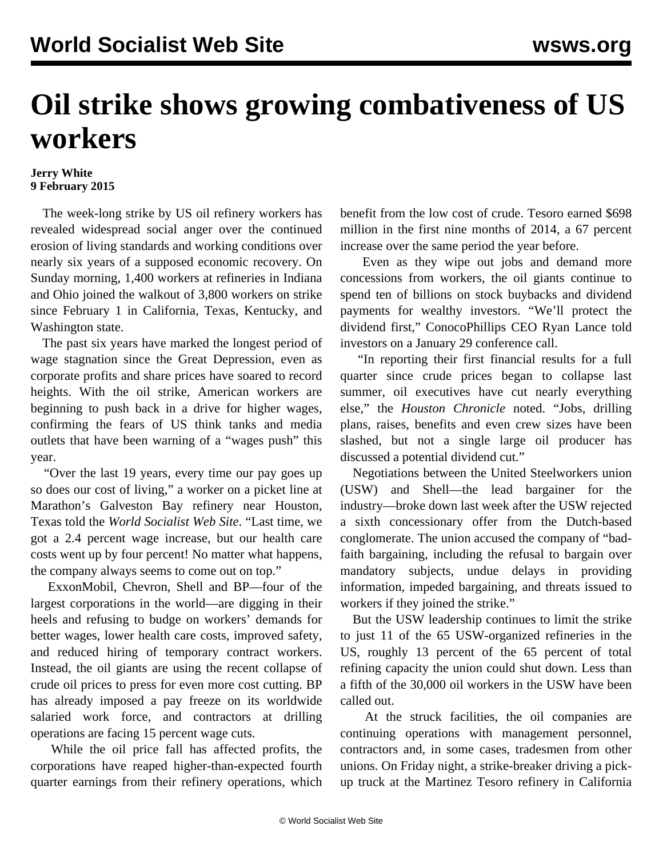## **Oil strike shows growing combativeness of US workers**

## **Jerry White 9 February 2015**

 The week-long strike by US oil refinery workers has revealed widespread social anger over the continued erosion of living standards and working conditions over nearly six years of a supposed economic recovery. On Sunday morning, 1,400 workers at refineries in Indiana and Ohio joined the walkout of 3,800 workers on strike since February 1 in California, Texas, Kentucky, and Washington state.

 The past six years have marked the longest period of wage stagnation since the Great Depression, even as corporate profits and share prices have soared to record heights. With the oil strike, American workers are beginning to push back in a drive for higher wages, confirming the fears of US think tanks and media outlets that have been warning of a "[wages push"](/en/articles/2015/01/19/pers-j19.html) this year.

 "Over the last 19 years, every time our pay goes up so does our cost of living," a worker on a picket line at Marathon's Galveston Bay refinery near Houston, Texas told the *World Socialist Web Site*. "Last time, we got a 2.4 percent wage increase, but our health care costs went up by four percent! No matter what happens, the company always seems to come out on top."

 ExxonMobil, Chevron, Shell and BP—four of the largest corporations in the world—are digging in their heels and refusing to budge on workers' demands for better wages, lower health care costs, improved safety, and reduced hiring of temporary contract workers. Instead, the oil giants are using the recent collapse of crude oil prices to press for even more cost cutting. BP has already imposed a pay freeze on its worldwide salaried work force, and contractors at drilling operations are facing 15 percent wage cuts.

 While the oil price fall has affected profits, the corporations have reaped higher-than-expected fourth quarter earnings from their refinery operations, which benefit from the low cost of crude. Tesoro earned \$698 million in the first nine months of 2014, a 67 percent increase over the same period the year before.

 Even as they wipe out jobs and demand more concessions from workers, the oil giants continue to spend ten of billions on stock buybacks and dividend payments for wealthy investors. "We'll protect the dividend first," ConocoPhillips CEO Ryan Lance told investors on a January 29 conference call.

 "In reporting their first financial results for a full quarter since crude prices began to collapse last summer, oil executives have cut nearly everything else," the *Houston Chronicle* noted. "Jobs, drilling plans, raises, benefits and even crew sizes have been slashed, but not a single large oil producer has discussed a potential dividend cut."

 Negotiations between the United Steelworkers union (USW) and Shell—the lead bargainer for the industry—broke down last week after the USW rejected a sixth concessionary offer from the Dutch-based conglomerate. The union accused the company of "badfaith bargaining, including the refusal to bargain over mandatory subjects, undue delays in providing information, impeded bargaining, and threats issued to workers if they joined the strike."

 But the USW leadership continues to limit the strike to just 11 of the 65 USW-organized refineries in the US, roughly 13 percent of the 65 percent of total refining capacity the union could shut down. Less than a fifth of the 30,000 oil workers in the USW have been called out.

 At the struck facilities, the oil companies are continuing operations with management personnel, contractors and, in some cases, tradesmen from other unions. On Friday night, a strike-breaker driving a pickup truck at the Martinez Tesoro refinery in California